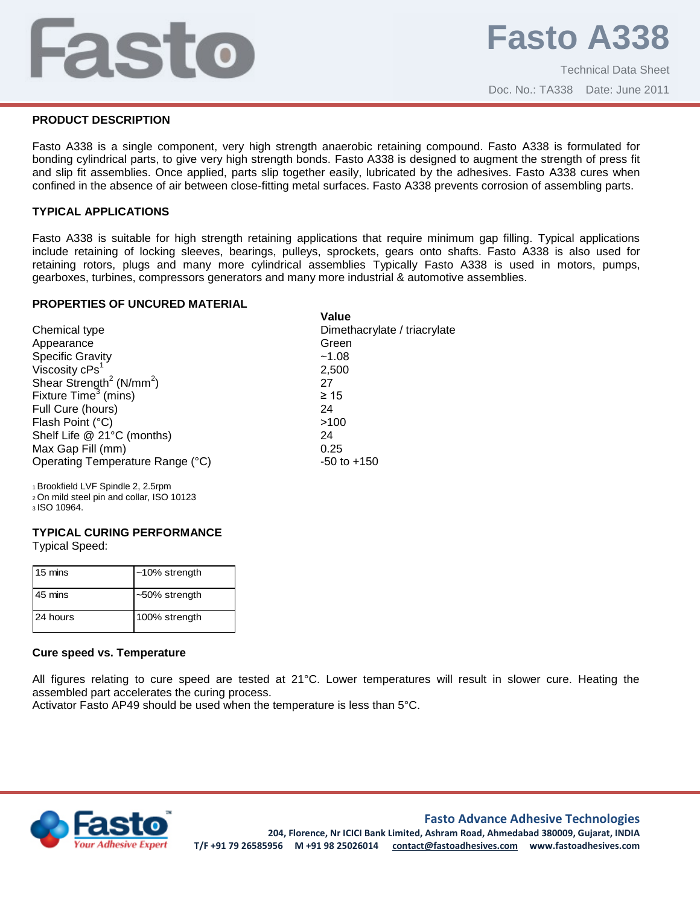# j

### **PRODUCT DESCRIPTION**

Fasto A338 is a single component, very high strength anaerobic retaining compound. Fasto A338 is formulated for bonding cylindrical parts, to give very high strength bonds. Fasto A338 is designed to augment the strength of press fit and slip fit assemblies. Once applied, parts slip together easily, lubricated by the adhesives. Fasto A338 cures when confined in the absence of air between close-fitting metal surfaces. Fasto A338 prevents corrosion of assembling parts.

### **TYPICAL APPLICATIONS**

Fasto A338 is suitable for high strength retaining applications that require minimum gap filling. Typical applications include retaining of locking sleeves, bearings, pulleys, sprockets, gears onto shafts. Fasto A338 is also used for retaining rotors, plugs and many more cylindrical assemblies Typically Fasto A338 is used in motors, pumps, gearboxes, turbines, compressors generators and many more industrial & automotive assemblies.

#### **PROPERTIES OF UNCURED MATERIAL**

|                                          | Value                        |
|------------------------------------------|------------------------------|
| Chemical type                            | Dimethacrylate / triacrylate |
| Appearance                               | Green                        |
| <b>Specific Gravity</b>                  | ~1.08                        |
| Viscosity cPs <sup>1</sup>               | 2,500                        |
| Shear Strength <sup>2</sup> ( $N/mm^2$ ) | 27                           |
| Fixture Time <sup>3</sup> (mins)         | $\geq 15$                    |
| Full Cure (hours)                        | 24                           |
| Flash Point (°C)                         | >100                         |
| Shelf Life @ 21°C (months)               | 24                           |
| Max Gap Fill (mm)                        | 0.25                         |
| Operating Temperature Range (°C)         | $-50$ to $+150$              |
| 1 Brookfield LVF Spindle 2, 2.5rpm       |                              |

<sup>2</sup>On mild steel pin and collar, ISO 10123

<sup>3</sup>ISO 10964.

#### **TYPICAL CURING PERFORMANCE**

Typical Speed:

| 15 mins  | $~10\%$ strength |
|----------|------------------|
| 45 mins  | $~50\%$ strength |
| 24 hours | 100% strength    |

#### **Cure speed vs. Temperature**

All figures relating to cure speed are tested at 21°C. Lower temperatures will result in slower cure. Heating the assembled part accelerates the curing process.

Activator Fasto AP49 should be used when the temperature is less than 5°C.



## **Fasto Advance Adhesive Technologies**

**204, Florence, Nr ICICI Bank Limited, Ashram Road, Ahmedabad 380009, Gujarat, INDIA T/F +91 79 26585956 M +91 98 25026014 contact@fastoadhesives.com www.fastoadhesives.com**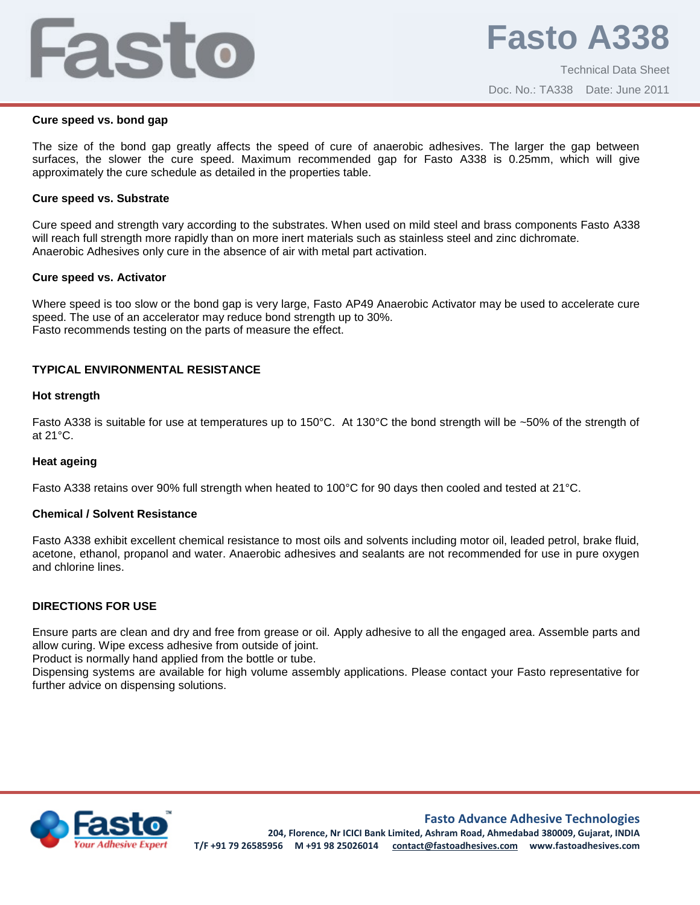# Fasto

#### **Cure speed vs. bond gap**

The size of the bond gap greatly affects the speed of cure of anaerobic adhesives. The larger the gap between surfaces, the slower the cure speed. Maximum recommended gap for Fasto A338 is 0.25mm, which will give approximately the cure schedule as detailed in the properties table.

#### **Cure speed vs. Substrate**

Cure speed and strength vary according to the substrates. When used on mild steel and brass components Fasto A338 will reach full strength more rapidly than on more inert materials such as stainless steel and zinc dichromate. Anaerobic Adhesives only cure in the absence of air with metal part activation.

#### **Cure speed vs. Activator**

Where speed is too slow or the bond gap is very large, Fasto AP49 Anaerobic Activator may be used to accelerate cure speed. The use of an accelerator may reduce bond strength up to 30%. Fasto recommends testing on the parts of measure the effect.

#### **TYPICAL ENVIRONMENTAL RESISTANCE**

#### **Hot strength**

Fasto A338 is suitable for use at temperatures up to 150°C. At 130°C the bond strength will be ~50% of the strength of at 21°C.

#### **Heat ageing**

Fasto A338 retains over 90% full strength when heated to 100°C for 90 days then cooled and tested at 21°C.

#### **Chemical / Solvent Resistance**

Fasto A338 exhibit excellent chemical resistance to most oils and solvents including motor oil, leaded petrol, brake fluid, acetone, ethanol, propanol and water. Anaerobic adhesives and sealants are not recommended for use in pure oxygen and chlorine lines.

#### **DIRECTIONS FOR USE**

Ensure parts are clean and dry and free from grease or oil. Apply adhesive to all the engaged area. Assemble parts and allow curing. Wipe excess adhesive from outside of joint.

Product is normally hand applied from the bottle or tube.

Dispensing systems are available for high volume assembly applications. Please contact your Fasto representative for further advice on dispensing solutions.



#### **Fasto Advance Adhesive Technologies**

**204, Florence, Nr ICICI Bank Limited, Ashram Road, Ahmedabad 380009, Gujarat, INDIA T/F +91 79 26585956 M +91 98 25026014 contact@fastoadhesives.com www.fastoadhesives.com**